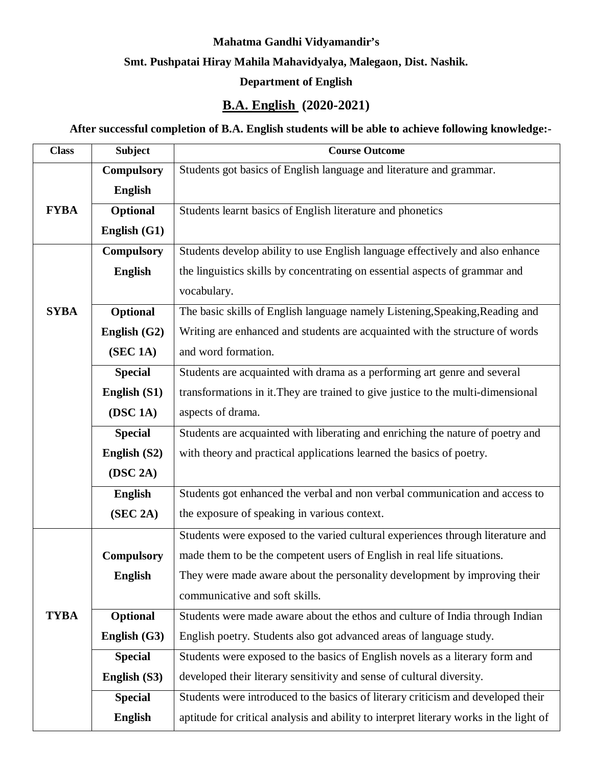#### **Mahatma Gandhi Vidyamandir's**

## **Smt. Pushpatai Hiray Mahila Mahavidyalya, Malegaon, Dist. Nashik.**

## **Department of English**

# **B.A. English (2020-2021)**

#### **After successful completion of B.A. English students will be able to achieve following knowledge:-**

| <b>Class</b> | <b>Subject</b>    | <b>Course Outcome</b>                                                                  |
|--------------|-------------------|----------------------------------------------------------------------------------------|
|              | <b>Compulsory</b> | Students got basics of English language and literature and grammar.                    |
|              | <b>English</b>    |                                                                                        |
| <b>FYBA</b>  | Optional          | Students learnt basics of English literature and phonetics                             |
|              | English (G1)      |                                                                                        |
|              | <b>Compulsory</b> | Students develop ability to use English language effectively and also enhance          |
|              | <b>English</b>    | the linguistics skills by concentrating on essential aspects of grammar and            |
|              |                   | vocabulary.                                                                            |
| <b>SYBA</b>  | Optional          | The basic skills of English language namely Listening, Speaking, Reading and           |
|              | English (G2)      | Writing are enhanced and students are acquainted with the structure of words           |
|              | (SEC 1A)          | and word formation.                                                                    |
|              | <b>Special</b>    | Students are acquainted with drama as a performing art genre and several               |
|              | English (S1)      | transformations in it. They are trained to give justice to the multi-dimensional       |
|              | (DSC 1A)          | aspects of drama.                                                                      |
|              | <b>Special</b>    | Students are acquainted with liberating and enriching the nature of poetry and         |
|              | English (S2)      | with theory and practical applications learned the basics of poetry.                   |
|              | (DSC 2A)          |                                                                                        |
|              | <b>English</b>    | Students got enhanced the verbal and non verbal communication and access to            |
|              | (SEC 2A)          | the exposure of speaking in various context.                                           |
|              |                   | Students were exposed to the varied cultural experiences through literature and        |
|              | <b>Compulsory</b> | made them to be the competent users of English in real life situations.                |
|              | <b>English</b>    | They were made aware about the personality development by improving their              |
|              |                   | communicative and soft skills.                                                         |
| <b>TYBA</b>  | Optional          | Students were made aware about the ethos and culture of India through Indian           |
|              | English $(G3)$    | English poetry. Students also got advanced areas of language study.                    |
|              | <b>Special</b>    | Students were exposed to the basics of English novels as a literary form and           |
|              | English (S3)      | developed their literary sensitivity and sense of cultural diversity.                  |
|              | <b>Special</b>    | Students were introduced to the basics of literary criticism and developed their       |
|              | <b>English</b>    | aptitude for critical analysis and ability to interpret literary works in the light of |